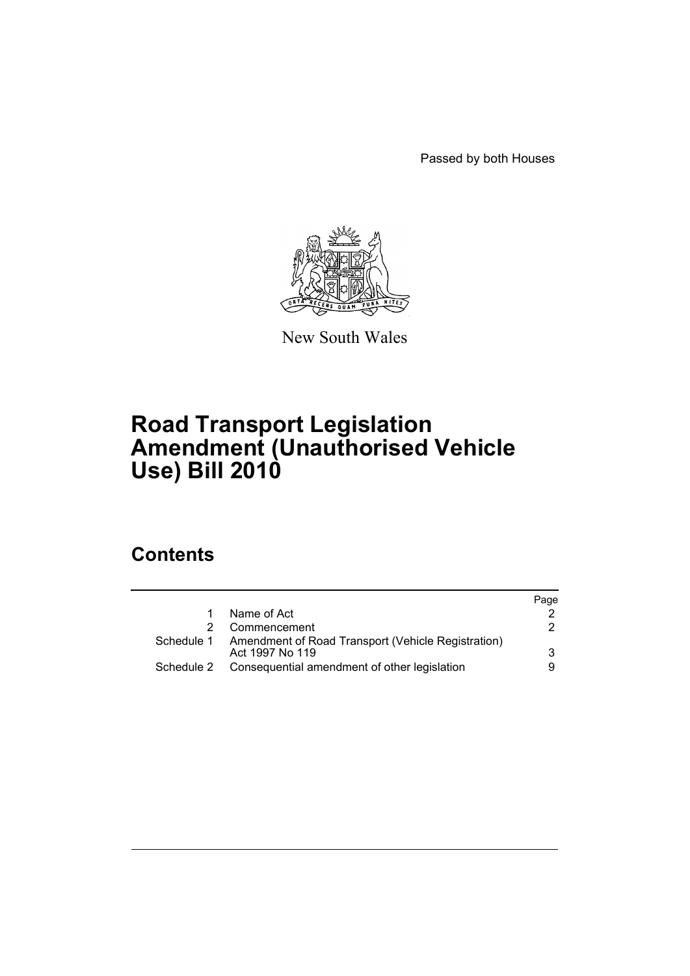Passed by both Houses



New South Wales

# **Road Transport Legislation Amendment (Unauthorised Vehicle Use) Bill 2010**

## **Contents**

|                 | Page                                                                                                          |
|-----------------|---------------------------------------------------------------------------------------------------------------|
| Name of Act     |                                                                                                               |
| Commencement    | 2                                                                                                             |
| Act 1997 No 119 | 3                                                                                                             |
|                 | 9                                                                                                             |
|                 | Schedule 1 Amendment of Road Transport (Vehicle Registration)<br>Consequential amendment of other legislation |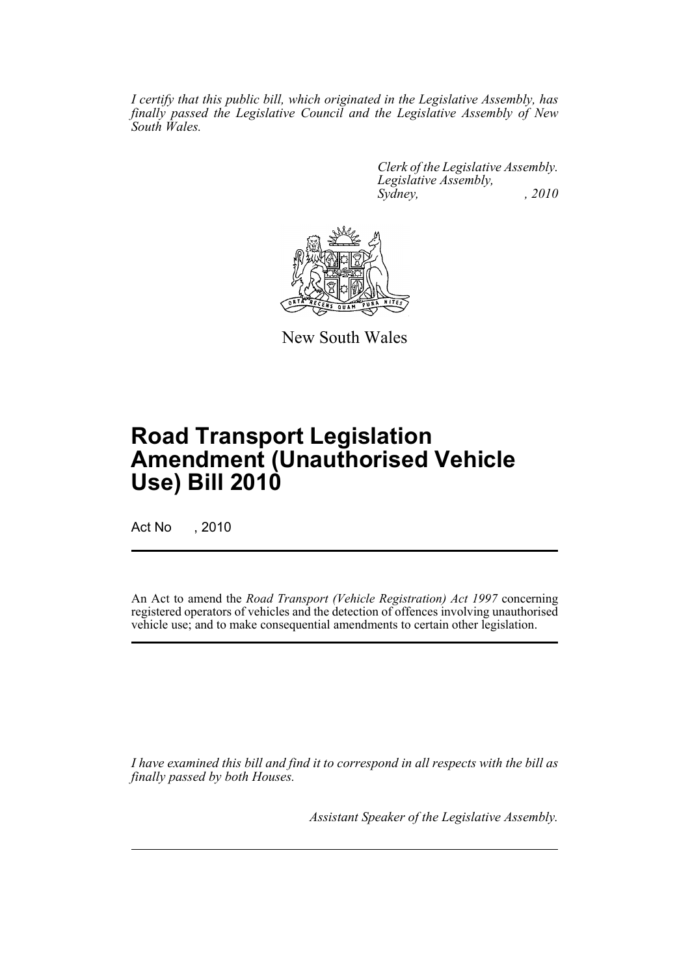*I certify that this public bill, which originated in the Legislative Assembly, has finally passed the Legislative Council and the Legislative Assembly of New South Wales.*

> *Clerk of the Legislative Assembly. Legislative Assembly, Sydney, , 2010*



New South Wales

# **Road Transport Legislation Amendment (Unauthorised Vehicle Use) Bill 2010**

Act No , 2010

An Act to amend the *Road Transport (Vehicle Registration) Act 1997* concerning registered operators of vehicles and the detection of offences involving unauthorised vehicle use; and to make consequential amendments to certain other legislation.

*I have examined this bill and find it to correspond in all respects with the bill as finally passed by both Houses.*

*Assistant Speaker of the Legislative Assembly.*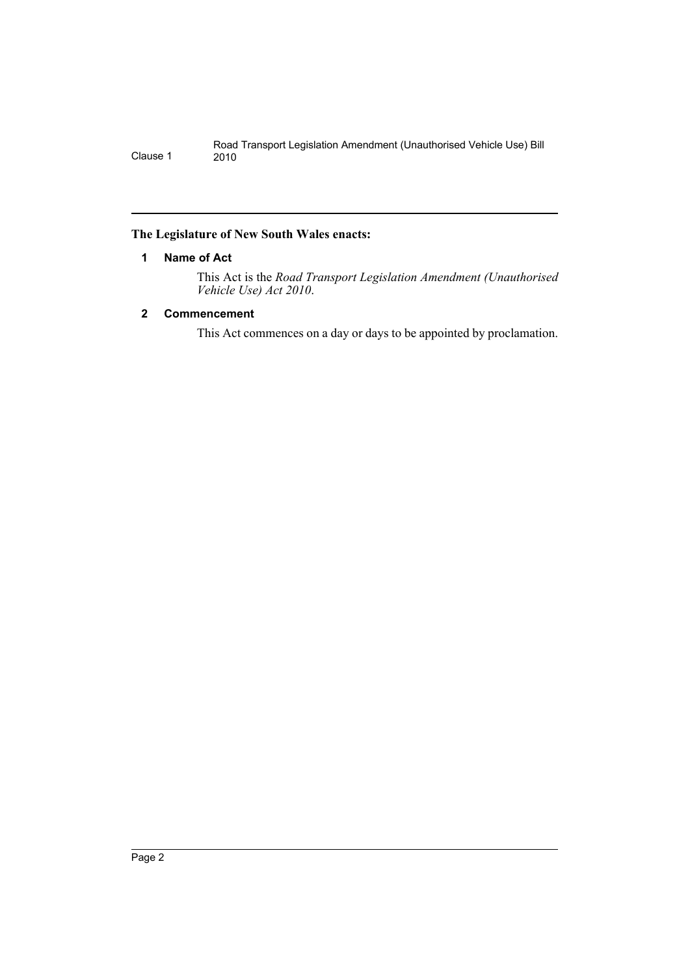#### <span id="page-2-0"></span>**The Legislature of New South Wales enacts:**

#### **1 Name of Act**

This Act is the *Road Transport Legislation Amendment (Unauthorised Vehicle Use) Act 2010*.

#### <span id="page-2-1"></span>**2 Commencement**

This Act commences on a day or days to be appointed by proclamation.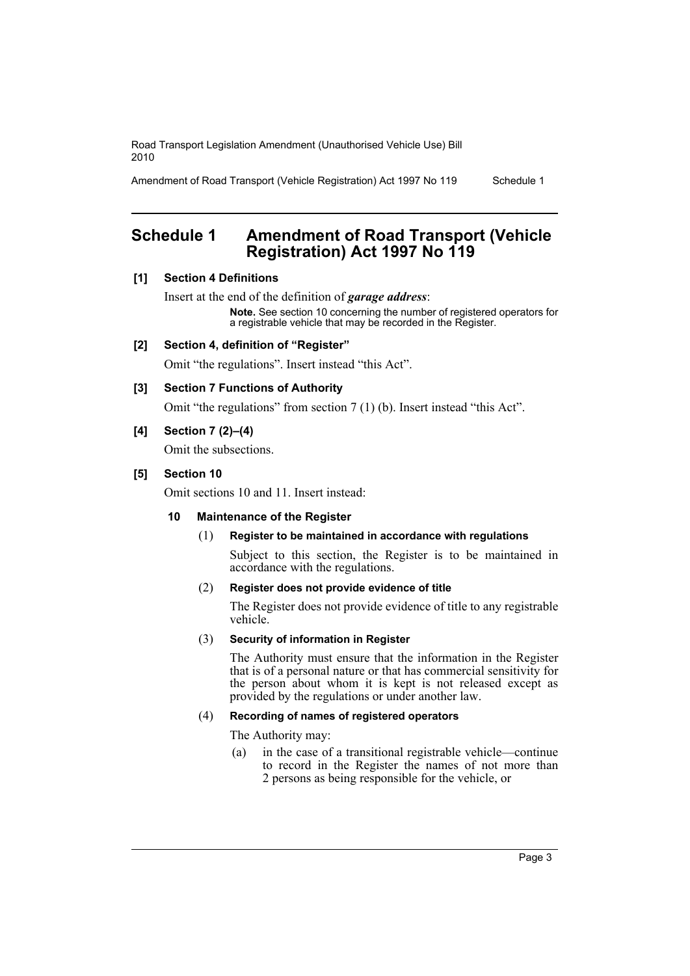Amendment of Road Transport (Vehicle Registration) Act 1997 No 119 Schedule 1

## <span id="page-3-0"></span>**Schedule 1 Amendment of Road Transport (Vehicle Registration) Act 1997 No 119**

#### **[1] Section 4 Definitions**

Insert at the end of the definition of *garage address*: **Note.** See section 10 concerning the number of registered operators for a registrable vehicle that may be recorded in the Register.

#### **[2] Section 4, definition of "Register"**

Omit "the regulations". Insert instead "this Act".

#### **[3] Section 7 Functions of Authority**

Omit "the regulations" from section 7 (1) (b). Insert instead "this Act".

#### **[4] Section 7 (2)–(4)**

Omit the subsections.

#### **[5] Section 10**

Omit sections 10 and 11. Insert instead:

#### **10 Maintenance of the Register**

#### (1) **Register to be maintained in accordance with regulations**

Subject to this section, the Register is to be maintained in accordance with the regulations.

#### (2) **Register does not provide evidence of title**

The Register does not provide evidence of title to any registrable vehicle.

#### (3) **Security of information in Register**

The Authority must ensure that the information in the Register that is of a personal nature or that has commercial sensitivity for the person about whom it is kept is not released except as provided by the regulations or under another law.

#### (4) **Recording of names of registered operators**

The Authority may:

(a) in the case of a transitional registrable vehicle—continue to record in the Register the names of not more than 2 persons as being responsible for the vehicle, or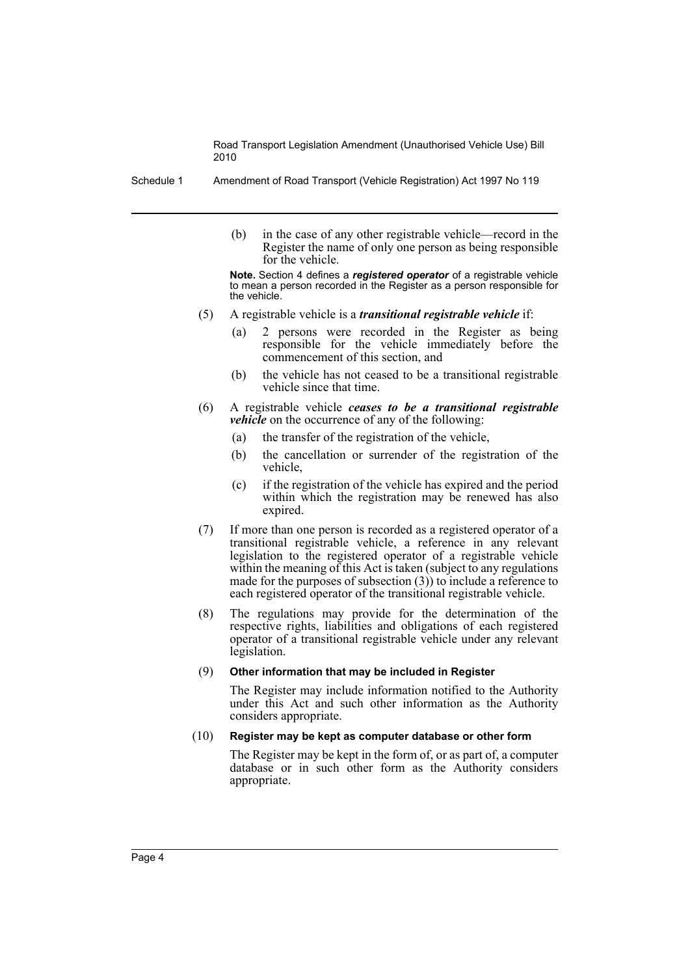Schedule 1 Amendment of Road Transport (Vehicle Registration) Act 1997 No 119

(b) in the case of any other registrable vehicle—record in the Register the name of only one person as being responsible for the vehicle.

**Note.** Section 4 defines a *registered operator* of a registrable vehicle to mean a person recorded in the Register as a person responsible for the vehicle.

- (5) A registrable vehicle is a *transitional registrable vehicle* if:
	- (a) 2 persons were recorded in the Register as being responsible for the vehicle immediately before the commencement of this section, and
	- (b) the vehicle has not ceased to be a transitional registrable vehicle since that time.
- (6) A registrable vehicle *ceases to be a transitional registrable vehicle* on the occurrence of any of the following:
	- (a) the transfer of the registration of the vehicle,
	- (b) the cancellation or surrender of the registration of the vehicle,
	- (c) if the registration of the vehicle has expired and the period within which the registration may be renewed has also expired.
- (7) If more than one person is recorded as a registered operator of a transitional registrable vehicle, a reference in any relevant legislation to the registered operator of a registrable vehicle within the meaning of this Act is taken (subject to any regulations made for the purposes of subsection  $(3)$  to include a reference to each registered operator of the transitional registrable vehicle.
- (8) The regulations may provide for the determination of the respective rights, liabilities and obligations of each registered operator of a transitional registrable vehicle under any relevant legislation.

#### (9) **Other information that may be included in Register**

The Register may include information notified to the Authority under this Act and such other information as the Authority considers appropriate.

#### (10) **Register may be kept as computer database or other form**

The Register may be kept in the form of, or as part of, a computer database or in such other form as the Authority considers appropriate.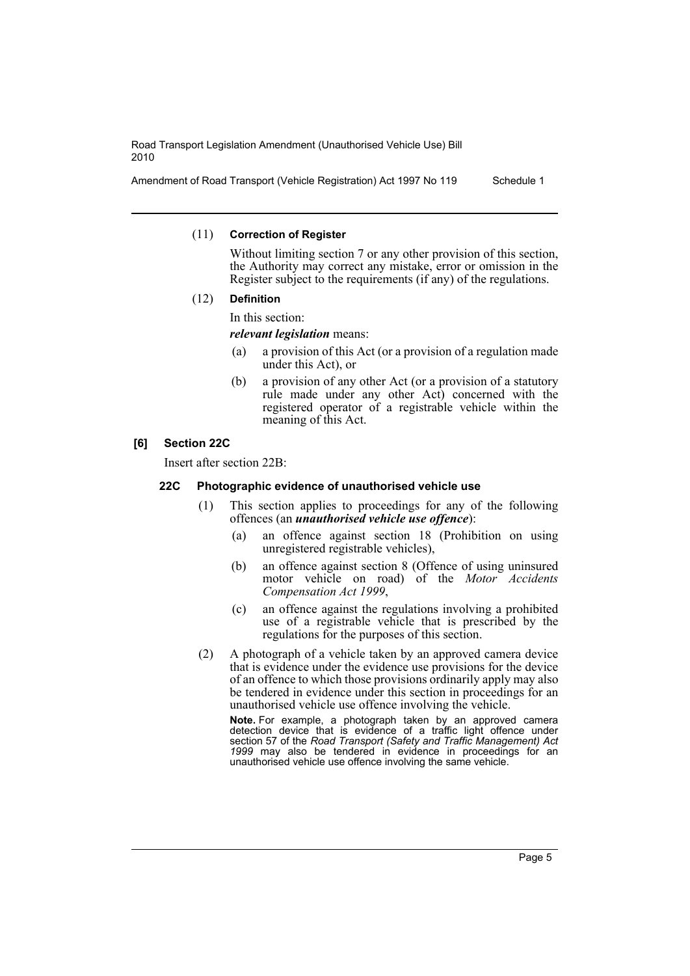Amendment of Road Transport (Vehicle Registration) Act 1997 No 119 Schedule 1

#### (11) **Correction of Register**

Without limiting section 7 or any other provision of this section. the Authority may correct any mistake, error or omission in the Register subject to the requirements (if any) of the regulations.

#### (12) **Definition**

In this section:

*relevant legislation* means:

- (a) a provision of this Act (or a provision of a regulation made under this Act), or
- (b) a provision of any other Act (or a provision of a statutory rule made under any other Act) concerned with the registered operator of a registrable vehicle within the meaning of this Act.

#### **[6] Section 22C**

Insert after section 22B:

#### **22C Photographic evidence of unauthorised vehicle use**

- (1) This section applies to proceedings for any of the following offences (an *unauthorised vehicle use offence*):
	- (a) an offence against section 18 (Prohibition on using unregistered registrable vehicles),
	- (b) an offence against section 8 (Offence of using uninsured motor vehicle on road) of the *Motor Accidents Compensation Act 1999*,
	- (c) an offence against the regulations involving a prohibited use of a registrable vehicle that is prescribed by the regulations for the purposes of this section.
- (2) A photograph of a vehicle taken by an approved camera device that is evidence under the evidence use provisions for the device of an offence to which those provisions ordinarily apply may also be tendered in evidence under this section in proceedings for an unauthorised vehicle use offence involving the vehicle.

**Note.** For example, a photograph taken by an approved camera detection device that is evidence of a traffic light offence under section 57 of the *Road Transport (Safety and Traffic Management) Act 1999* may also be tendered in evidence in proceedings for an unauthorised vehicle use offence involving the same vehicle.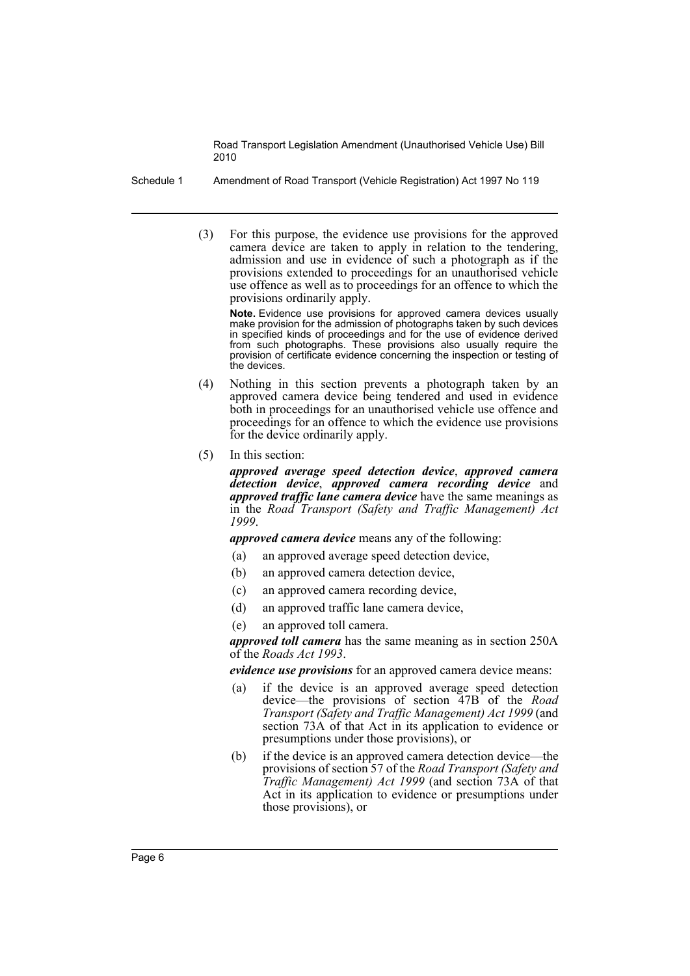Schedule 1 Amendment of Road Transport (Vehicle Registration) Act 1997 No 119

(3) For this purpose, the evidence use provisions for the approved camera device are taken to apply in relation to the tendering, admission and use in evidence of such a photograph as if the provisions extended to proceedings for an unauthorised vehicle use offence as well as to proceedings for an offence to which the provisions ordinarily apply.

**Note.** Evidence use provisions for approved camera devices usually make provision for the admission of photographs taken by such devices in specified kinds of proceedings and for the use of evidence derived from such photographs. These provisions also usually require the provision of certificate evidence concerning the inspection or testing of the devices.

- (4) Nothing in this section prevents a photograph taken by an approved camera device being tendered and used in evidence both in proceedings for an unauthorised vehicle use offence and proceedings for an offence to which the evidence use provisions for the device ordinarily apply.
- (5) In this section:

*approved average speed detection device*, *approved camera detection device*, *approved camera recording device* and *approved traffic lane camera device* have the same meanings as in the *Road Transport (Safety and Traffic Management) Act 1999*.

*approved camera device* means any of the following:

- (a) an approved average speed detection device,
- (b) an approved camera detection device,
- (c) an approved camera recording device,
- (d) an approved traffic lane camera device,
- (e) an approved toll camera.

*approved toll camera* has the same meaning as in section 250A of the *Roads Act 1993*.

*evidence use provisions* for an approved camera device means:

- (a) if the device is an approved average speed detection device—the provisions of section 47B of the *Road Transport (Safety and Traffic Management) Act 1999* (and section 73A of that Act in its application to evidence or presumptions under those provisions), or
- (b) if the device is an approved camera detection device—the provisions of section 57 of the *Road Transport (Safety and Traffic Management) Act 1999* (and section 73A of that Act in its application to evidence or presumptions under those provisions), or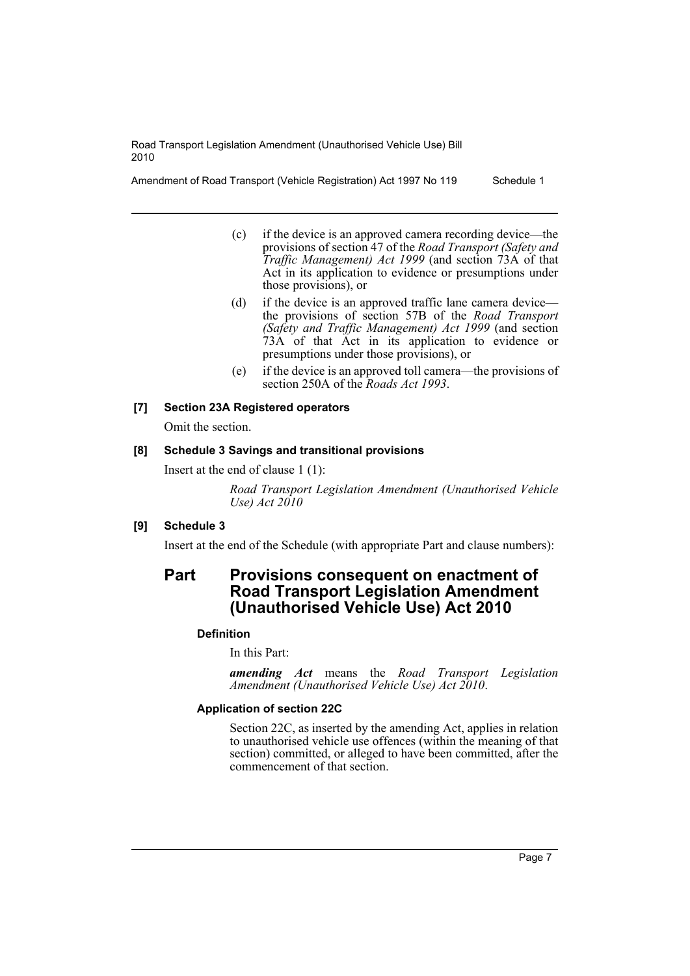Amendment of Road Transport (Vehicle Registration) Act 1997 No 119 Schedule 1

- (c) if the device is an approved camera recording device—the provisions of section 47 of the *Road Transport (Safety and Traffic Management) Act 1999* (and section 73A of that Act in its application to evidence or presumptions under those provisions), or
- (d) if the device is an approved traffic lane camera device the provisions of section 57B of the *Road Transport (Safety and Traffic Management) Act 1999* (and section 73A of that Act in its application to evidence or presumptions under those provisions), or
- (e) if the device is an approved toll camera—the provisions of section 250A of the *Roads Act 1993*.

#### **[7] Section 23A Registered operators**

Omit the section.

#### **[8] Schedule 3 Savings and transitional provisions**

Insert at the end of clause 1 (1):

*Road Transport Legislation Amendment (Unauthorised Vehicle Use) Act 2010*

#### **[9] Schedule 3**

Insert at the end of the Schedule (with appropriate Part and clause numbers):

### **Part Provisions consequent on enactment of Road Transport Legislation Amendment (Unauthorised Vehicle Use) Act 2010**

#### **Definition**

In this Part:

*amending Act* means the *Road Transport Legislation Amendment (Unauthorised Vehicle Use) Act 2010*.

#### **Application of section 22C**

Section 22C, as inserted by the amending Act, applies in relation to unauthorised vehicle use offences (within the meaning of that section) committed, or alleged to have been committed, after the commencement of that section.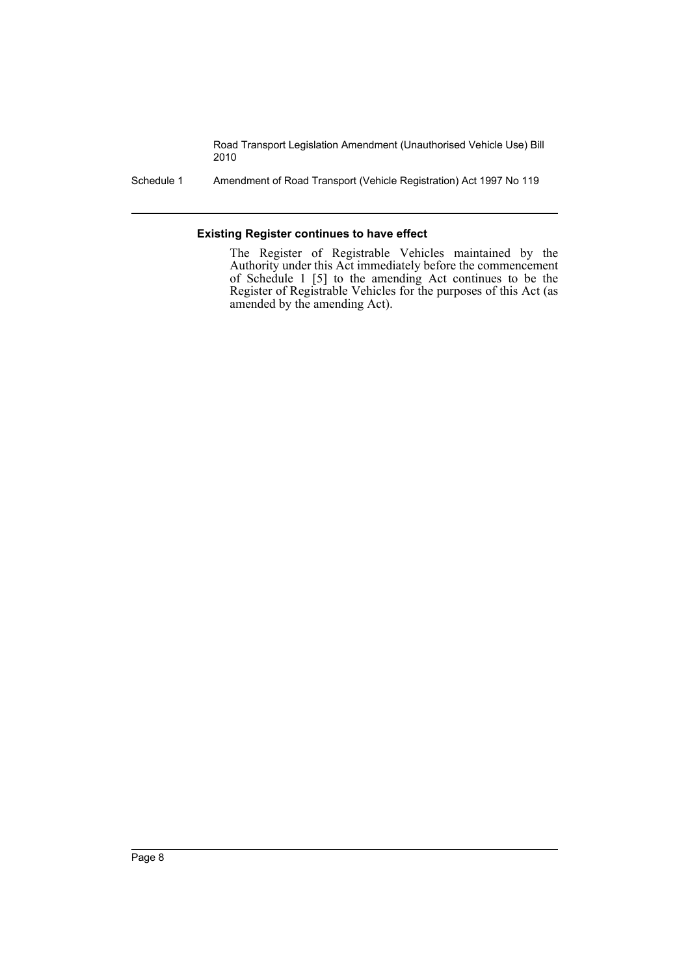Schedule 1 Amendment of Road Transport (Vehicle Registration) Act 1997 No 119

#### **Existing Register continues to have effect**

The Register of Registrable Vehicles maintained by the Authority under this Act immediately before the commencement of Schedule 1 [5] to the amending Act continues to be the Register of Registrable Vehicles for the purposes of this Act (as amended by the amending Act).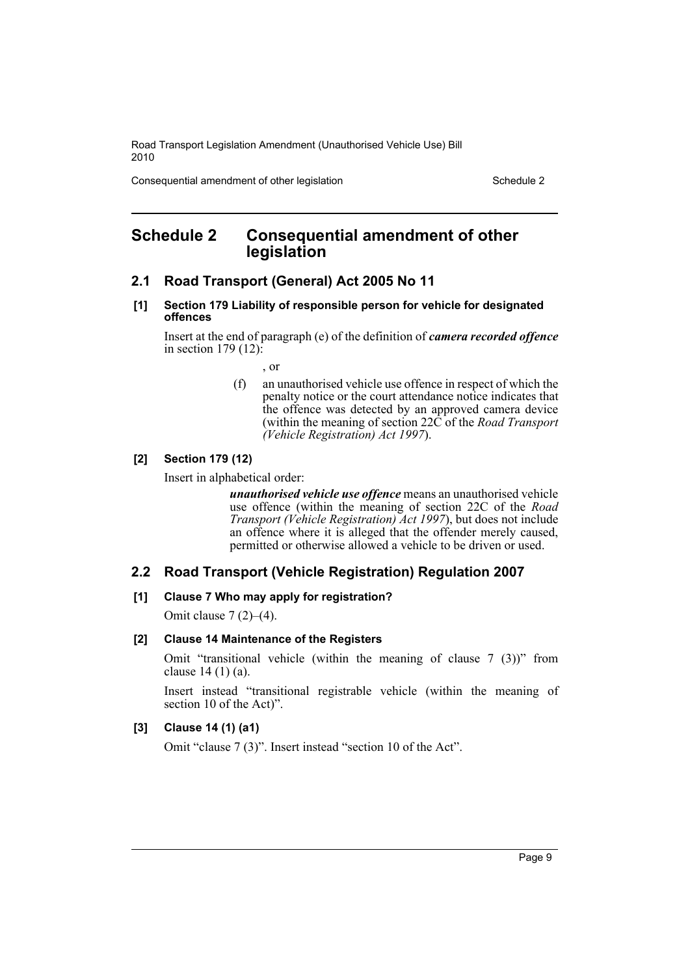Consequential amendment of other legislation Schedule 2 Schedule 2

### <span id="page-9-0"></span>**Schedule 2 Consequential amendment of other legislation**

#### **2.1 Road Transport (General) Act 2005 No 11**

**[1] Section 179 Liability of responsible person for vehicle for designated offences**

Insert at the end of paragraph (e) of the definition of *camera recorded offence* in section  $179(12)$ :

- , or
- (f) an unauthorised vehicle use offence in respect of which the penalty notice or the court attendance notice indicates that the offence was detected by an approved camera device (within the meaning of section 22C of the *Road Transport (Vehicle Registration) Act 1997*).

#### **[2] Section 179 (12)**

Insert in alphabetical order:

*unauthorised vehicle use offence* means an unauthorised vehicle use offence (within the meaning of section 22C of the *Road Transport (Vehicle Registration) Act 1997*), but does not include an offence where it is alleged that the offender merely caused, permitted or otherwise allowed a vehicle to be driven or used.

#### **2.2 Road Transport (Vehicle Registration) Regulation 2007**

#### **[1] Clause 7 Who may apply for registration?**

Omit clause 7 (2)–(4).

#### **[2] Clause 14 Maintenance of the Registers**

Omit "transitional vehicle (within the meaning of clause 7 (3))" from clause 14 (1) (a).

Insert instead "transitional registrable vehicle (within the meaning of section 10 of the Act)".

#### **[3] Clause 14 (1) (a1)**

Omit "clause 7 (3)". Insert instead "section 10 of the Act".